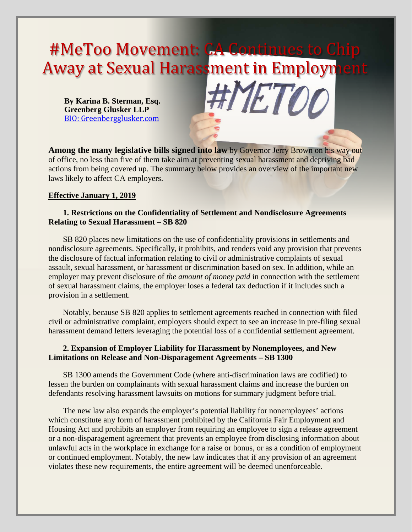# #MeToo Movement: CA Continues to Away at Sexual Harassment in Employme

**By Karina B. Sterman, Esq. Greenberg Glusker LLP** [BIO: Greenbergglusker.com](http://www.greenbergglusker.com/people/attorneys/sterman)



**Among the many legislative bills signed into law** by Governor Jerry Brown on his way out of office, no less than five of them take aim at preventing sexual harassment and depriving bad actions from being covered up. The summary below provides an overview of the important new laws likely to affect CA employers.

### **Effective January 1, 2019**

# **1. Restrictions on the Confidentiality of Settlement and Nondisclosure Agreements Relating to Sexual Harassment – SB 820**

SB 820 places new limitations on the use of confidentiality provisions in settlements and nondisclosure agreements. Specifically, it prohibits, and renders void any provision that prevents the disclosure of factual information relating to civil or administrative complaints of sexual assault, sexual harassment, or harassment or discrimination based on sex. In addition, while an employer may prevent disclosure of *the amount of money paid* in connection with the settlement of sexual harassment claims, the employer loses a federal tax deduction if it includes such a provision in a settlement.

Notably, because SB 820 applies to settlement agreements reached in connection with filed civil or administrative complaint, employers should expect to see an increase in pre-filing sexual harassment demand letters leveraging the potential loss of a confidential settlement agreement.

# **2. Expansion of Employer Liability for Harassment by Nonemployees, and New Limitations on Release and Non-Disparagement Agreements – SB 1300**

SB 1300 amends the Government Code (where anti-discrimination laws are codified) to lessen the burden on complainants with sexual harassment claims and increase the burden on defendants resolving harassment lawsuits on motions for summary judgment before trial.

The new law also expands the employer's potential liability for nonemployees' actions which constitute any form of harassment prohibited by the California Fair Employment and Housing Act and prohibits an employer from requiring an employee to sign a release agreement or a non-disparagement agreement that prevents an employee from disclosing information about unlawful acts in the workplace in exchange for a raise or bonus, or as a condition of employment or continued employment. Notably, the new law indicates that if any provision of an agreement violates these new requirements, the entire agreement will be deemed unenforceable.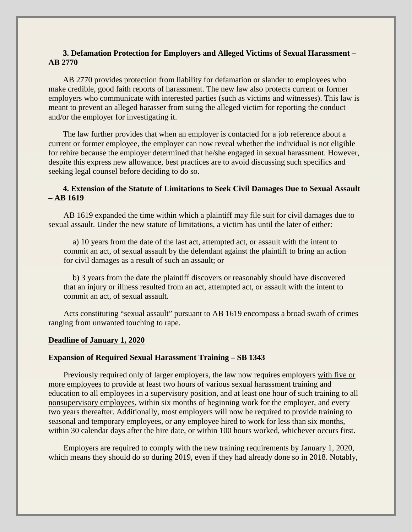# **3. Defamation Protection for Employers and Alleged Victims of Sexual Harassment – AB 2770**

AB 2770 provides protection from liability for defamation or slander to employees who make credible, good faith reports of harassment. The new law also protects current or former employers who communicate with interested parties (such as victims and witnesses). This law is meant to prevent an alleged harasser from suing the alleged victim for reporting the conduct and/or the employer for investigating it.

The law further provides that when an employer is contacted for a job reference about a current or former employee, the employer can now reveal whether the individual is not eligible for rehire because the employer determined that he/she engaged in sexual harassment. However, despite this express new allowance, best practices are to avoid discussing such specifics and seeking legal counsel before deciding to do so.

# **4. Extension of the Statute of Limitations to Seek Civil Damages Due to Sexual Assault – AB 1619**

AB 1619 expanded the time within which a plaintiff may file suit for civil damages due to sexual assault. Under the new statute of limitations, a victim has until the later of either:

a) 10 years from the date of the last act, attempted act, or assault with the intent to commit an act, of sexual assault by the defendant against the plaintiff to bring an action for civil damages as a result of such an assault; or

b) 3 years from the date the plaintiff discovers or reasonably should have discovered that an injury or illness resulted from an act, attempted act, or assault with the intent to commit an act, of sexual assault.

Acts constituting "sexual assault" pursuant to AB 1619 encompass a broad swath of crimes ranging from unwanted touching to rape.

### **Deadline of January 1, 2020**

### **Expansion of Required Sexual Harassment Training – SB 1343**

Previously required only of larger employers, the law now requires employers with five or more employees to provide at least two hours of various sexual harassment training and education to all employees in a supervisory position, and at least one hour of such training to all nonsupervisory employees, within six months of beginning work for the employer, and every two years thereafter. Additionally, most employers will now be required to provide training to seasonal and temporary employees, or any employee hired to work for less than six months, within 30 calendar days after the hire date, or within 100 hours worked, whichever occurs first.

Employers are required to comply with the new training requirements by January 1, 2020, which means they should do so during 2019, even if they had already done so in 2018. Notably,